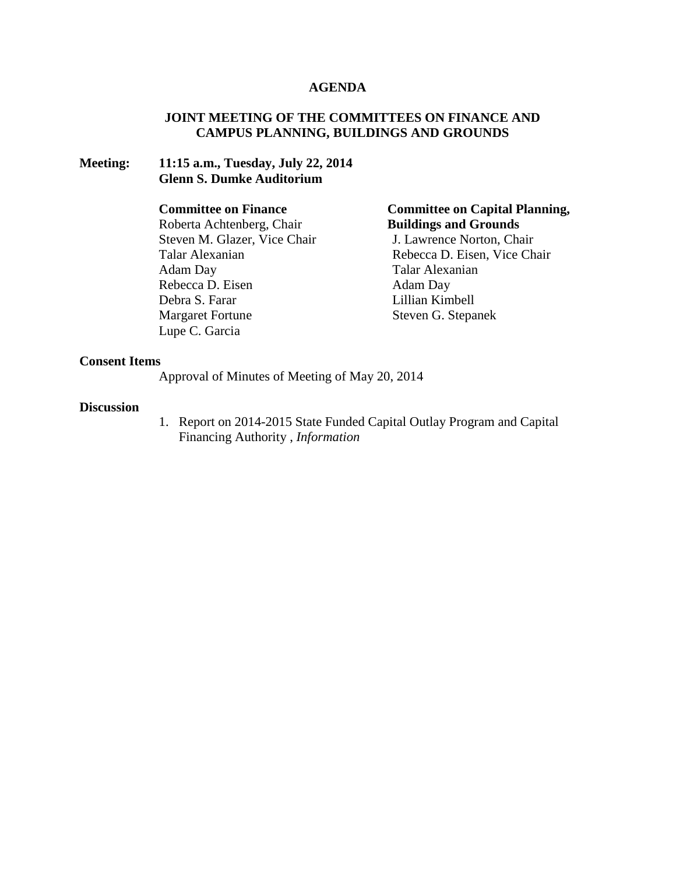#### **AGENDA**

## **JOINT MEETING OF THE COMMITTEES ON FINANCE AND CAMPUS PLANNING, BUILDINGS AND GROUNDS**

#### **Meeting: 11:15 a.m., Tuesday, July 22, 2014 Glenn S. Dumke Auditorium**

#### **Committee on Finance**

Roberta Achtenberg, Chair Steven M. Glazer, Vice Chair Talar Alexanian Adam Day Rebecca D. Eisen Debra S. Farar Margaret Fortune Lupe C. Garcia

## **Committee on Capital Planning, Buildings and Grounds**

J. Lawrence Norton, Chair Rebecca D. Eisen, Vice Chair Talar Alexanian Adam Day Lillian Kimbell Steven G. Stepanek

## **Consent Items**

Approval of Minutes of Meeting of May 20, 2014

#### **Discussion**

1. Report on 2014-2015 State Funded Capital Outlay Program and Capital Financing Authority , *Information*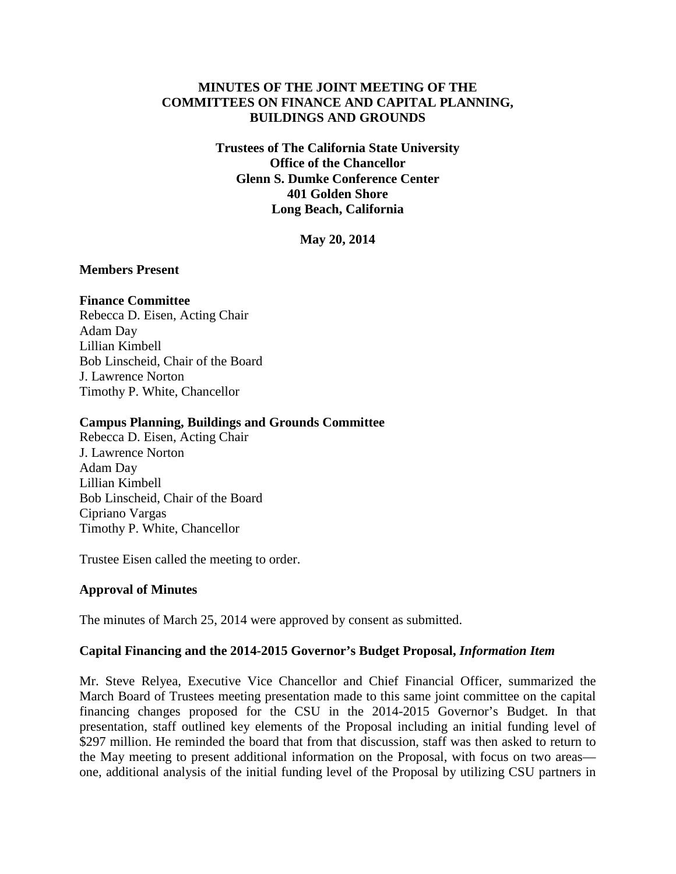## **MINUTES OF THE JOINT MEETING OF THE COMMITTEES ON FINANCE AND CAPITAL PLANNING, BUILDINGS AND GROUNDS**

**Trustees of The California State University Office of the Chancellor Glenn S. Dumke Conference Center 401 Golden Shore Long Beach, California**

**May 20, 2014**

#### **Members Present**

#### **Finance Committee**

Rebecca D. Eisen, Acting Chair Adam Day Lillian Kimbell Bob Linscheid, Chair of the Board J. Lawrence Norton Timothy P. White, Chancellor

#### **Campus Planning, Buildings and Grounds Committee**

Rebecca D. Eisen, Acting Chair J. Lawrence Norton Adam Day Lillian Kimbell Bob Linscheid, Chair of the Board Cipriano Vargas Timothy P. White, Chancellor

Trustee Eisen called the meeting to order.

## **Approval of Minutes**

The minutes of March 25, 2014 were approved by consent as submitted.

## **Capital Financing and the 2014-2015 Governor's Budget Proposal,** *Information Item*

Mr. Steve Relyea, Executive Vice Chancellor and Chief Financial Officer, summarized the March Board of Trustees meeting presentation made to this same joint committee on the capital financing changes proposed for the CSU in the 2014-2015 Governor's Budget. In that presentation, staff outlined key elements of the Proposal including an initial funding level of \$297 million. He reminded the board that from that discussion, staff was then asked to return to the May meeting to present additional information on the Proposal, with focus on two areas one, additional analysis of the initial funding level of the Proposal by utilizing CSU partners in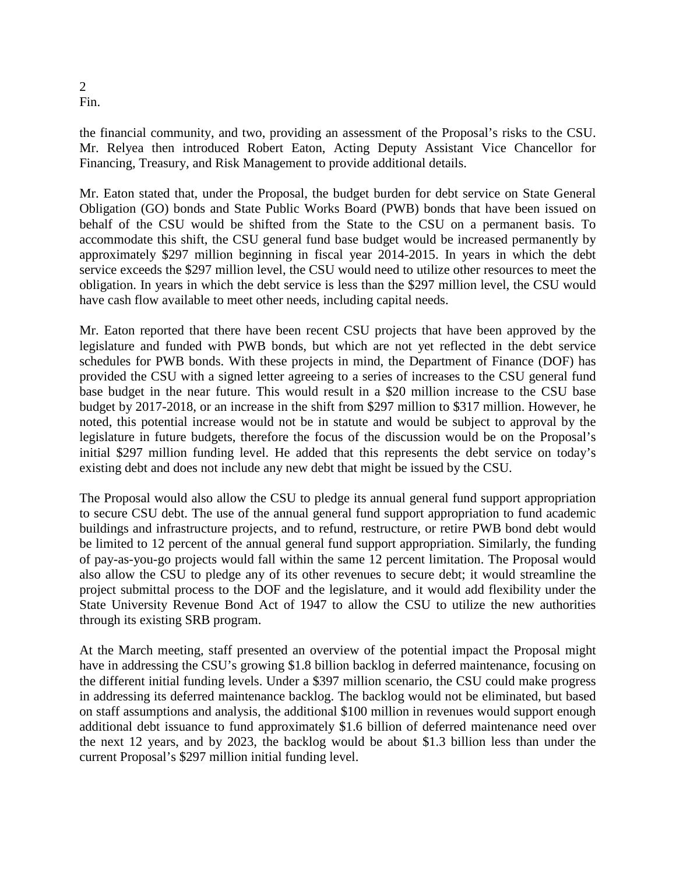#### 2 Fin.

the financial community, and two, providing an assessment of the Proposal's risks to the CSU. Mr. Relyea then introduced Robert Eaton, Acting Deputy Assistant Vice Chancellor for Financing, Treasury, and Risk Management to provide additional details.

Mr. Eaton stated that, under the Proposal, the budget burden for debt service on State General Obligation (GO) bonds and State Public Works Board (PWB) bonds that have been issued on behalf of the CSU would be shifted from the State to the CSU on a permanent basis. To accommodate this shift, the CSU general fund base budget would be increased permanently by approximately \$297 million beginning in fiscal year 2014-2015. In years in which the debt service exceeds the \$297 million level, the CSU would need to utilize other resources to meet the obligation. In years in which the debt service is less than the \$297 million level, the CSU would have cash flow available to meet other needs, including capital needs.

Mr. Eaton reported that there have been recent CSU projects that have been approved by the legislature and funded with PWB bonds, but which are not yet reflected in the debt service schedules for PWB bonds. With these projects in mind, the Department of Finance (DOF) has provided the CSU with a signed letter agreeing to a series of increases to the CSU general fund base budget in the near future. This would result in a \$20 million increase to the CSU base budget by 2017-2018, or an increase in the shift from \$297 million to \$317 million. However, he noted, this potential increase would not be in statute and would be subject to approval by the legislature in future budgets, therefore the focus of the discussion would be on the Proposal's initial \$297 million funding level. He added that this represents the debt service on today's existing debt and does not include any new debt that might be issued by the CSU.

The Proposal would also allow the CSU to pledge its annual general fund support appropriation to secure CSU debt. The use of the annual general fund support appropriation to fund academic buildings and infrastructure projects, and to refund, restructure, or retire PWB bond debt would be limited to 12 percent of the annual general fund support appropriation. Similarly, the funding of pay-as-you-go projects would fall within the same 12 percent limitation. The Proposal would also allow the CSU to pledge any of its other revenues to secure debt; it would streamline the project submittal process to the DOF and the legislature, and it would add flexibility under the State University Revenue Bond Act of 1947 to allow the CSU to utilize the new authorities through its existing SRB program.

At the March meeting, staff presented an overview of the potential impact the Proposal might have in addressing the CSU's growing \$1.8 billion backlog in deferred maintenance, focusing on the different initial funding levels. Under a \$397 million scenario, the CSU could make progress in addressing its deferred maintenance backlog. The backlog would not be eliminated, but based on staff assumptions and analysis, the additional \$100 million in revenues would support enough additional debt issuance to fund approximately \$1.6 billion of deferred maintenance need over the next 12 years, and by 2023, the backlog would be about \$1.3 billion less than under the current Proposal's \$297 million initial funding level.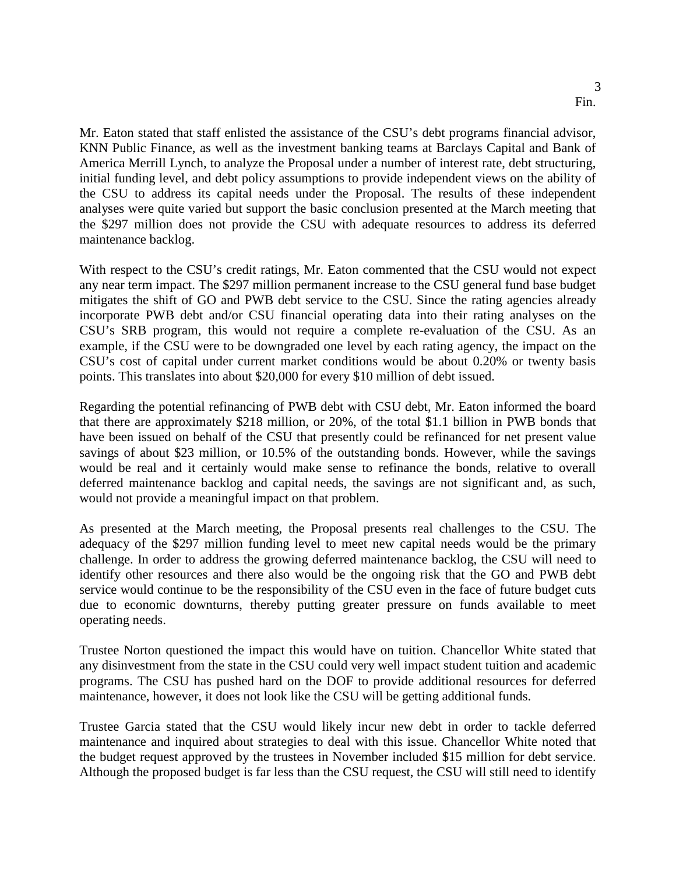Mr. Eaton stated that staff enlisted the assistance of the CSU's debt programs financial advisor, KNN Public Finance, as well as the investment banking teams at Barclays Capital and Bank of America Merrill Lynch, to analyze the Proposal under a number of interest rate, debt structuring, initial funding level, and debt policy assumptions to provide independent views on the ability of the CSU to address its capital needs under the Proposal. The results of these independent analyses were quite varied but support the basic conclusion presented at the March meeting that the \$297 million does not provide the CSU with adequate resources to address its deferred maintenance backlog.

With respect to the CSU's credit ratings, Mr. Eaton commented that the CSU would not expect any near term impact. The \$297 million permanent increase to the CSU general fund base budget mitigates the shift of GO and PWB debt service to the CSU. Since the rating agencies already incorporate PWB debt and/or CSU financial operating data into their rating analyses on the CSU's SRB program, this would not require a complete re-evaluation of the CSU. As an example, if the CSU were to be downgraded one level by each rating agency, the impact on the CSU's cost of capital under current market conditions would be about 0.20% or twenty basis points. This translates into about \$20,000 for every \$10 million of debt issued.

Regarding the potential refinancing of PWB debt with CSU debt, Mr. Eaton informed the board that there are approximately \$218 million, or 20%, of the total \$1.1 billion in PWB bonds that have been issued on behalf of the CSU that presently could be refinanced for net present value savings of about \$23 million, or 10.5% of the outstanding bonds. However, while the savings would be real and it certainly would make sense to refinance the bonds, relative to overall deferred maintenance backlog and capital needs, the savings are not significant and, as such, would not provide a meaningful impact on that problem.

As presented at the March meeting, the Proposal presents real challenges to the CSU. The adequacy of the \$297 million funding level to meet new capital needs would be the primary challenge. In order to address the growing deferred maintenance backlog, the CSU will need to identify other resources and there also would be the ongoing risk that the GO and PWB debt service would continue to be the responsibility of the CSU even in the face of future budget cuts due to economic downturns, thereby putting greater pressure on funds available to meet operating needs.

Trustee Norton questioned the impact this would have on tuition. Chancellor White stated that any disinvestment from the state in the CSU could very well impact student tuition and academic programs. The CSU has pushed hard on the DOF to provide additional resources for deferred maintenance, however, it does not look like the CSU will be getting additional funds.

Trustee Garcia stated that the CSU would likely incur new debt in order to tackle deferred maintenance and inquired about strategies to deal with this issue. Chancellor White noted that the budget request approved by the trustees in November included \$15 million for debt service. Although the proposed budget is far less than the CSU request, the CSU will still need to identify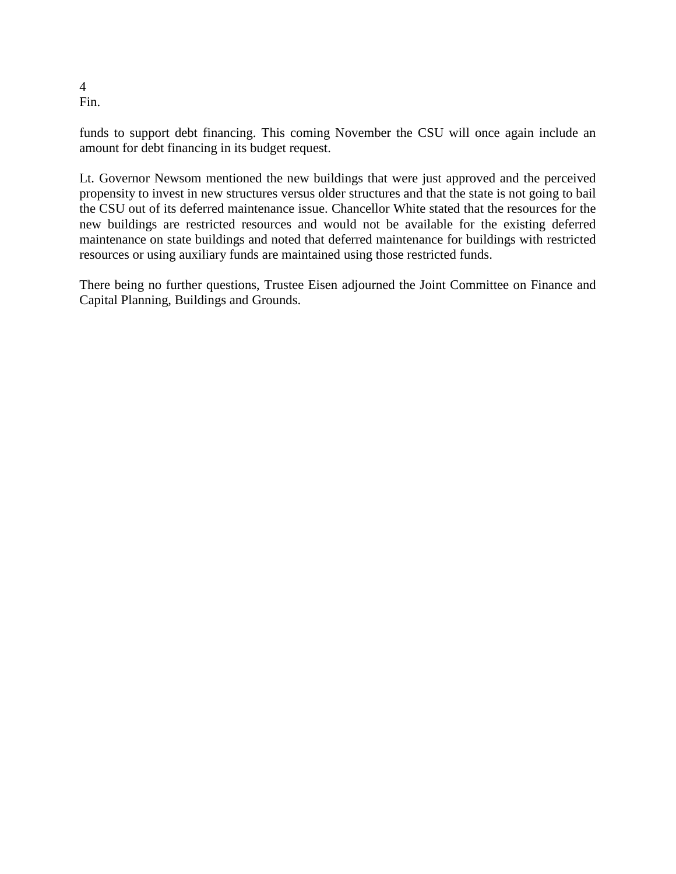4 Fin.

funds to support debt financing. This coming November the CSU will once again include an amount for debt financing in its budget request.

Lt. Governor Newsom mentioned the new buildings that were just approved and the perceived propensity to invest in new structures versus older structures and that the state is not going to bail the CSU out of its deferred maintenance issue. Chancellor White stated that the resources for the new buildings are restricted resources and would not be available for the existing deferred maintenance on state buildings and noted that deferred maintenance for buildings with restricted resources or using auxiliary funds are maintained using those restricted funds.

There being no further questions, Trustee Eisen adjourned the Joint Committee on Finance and Capital Planning, Buildings and Grounds.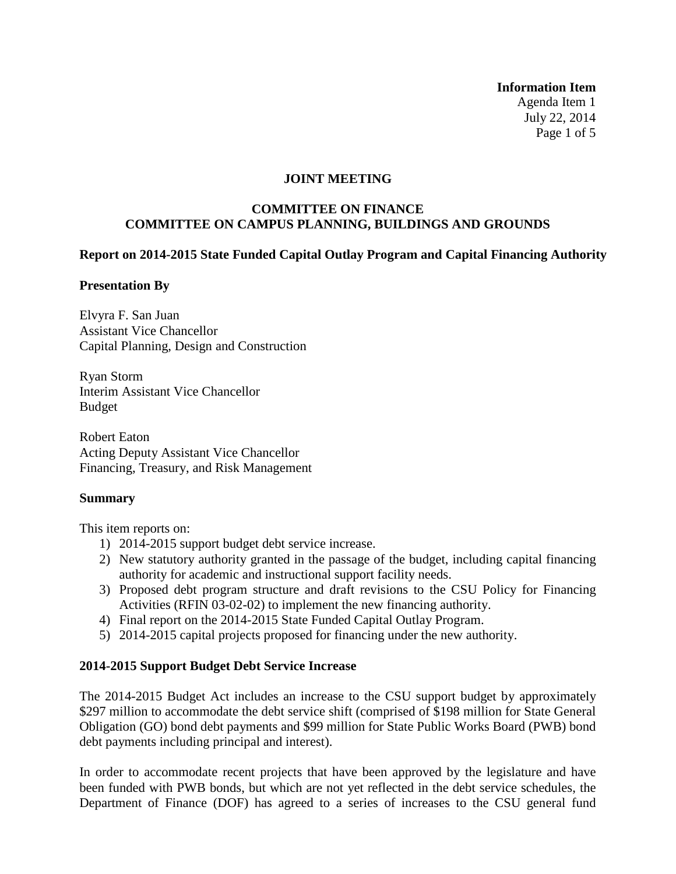**Information Item**

Agenda Item 1 July 22, 2014 Page 1 of 5

## **JOINT MEETING**

## **COMMITTEE ON FINANCE COMMITTEE ON CAMPUS PLANNING, BUILDINGS AND GROUNDS**

## **Report on 2014-2015 State Funded Capital Outlay Program and Capital Financing Authority**

## **Presentation By**

Elvyra F. San Juan Assistant Vice Chancellor Capital Planning, Design and Construction

Ryan Storm Interim Assistant Vice Chancellor Budget

Robert Eaton Acting Deputy Assistant Vice Chancellor Financing, Treasury, and Risk Management

## **Summary**

This item reports on:

- 1) 2014-2015 support budget debt service increase.
- 2) New statutory authority granted in the passage of the budget, including capital financing authority for academic and instructional support facility needs.
- 3) Proposed debt program structure and draft revisions to the CSU Policy for Financing Activities (RFIN 03-02-02) to implement the new financing authority.
- 4) Final report on the 2014-2015 State Funded Capital Outlay Program.
- 5) 2014-2015 capital projects proposed for financing under the new authority.

## **2014-2015 Support Budget Debt Service Increase**

The 2014-2015 Budget Act includes an increase to the CSU support budget by approximately \$297 million to accommodate the debt service shift (comprised of \$198 million for State General Obligation (GO) bond debt payments and \$99 million for State Public Works Board (PWB) bond debt payments including principal and interest).

<span id="page-5-0"></span>In order to accommodate recent projects that have been approved by the legislature and have been funded with PWB bonds, but which are not yet reflected in the debt service schedules, the Department of Finance (DOF) has agreed to a series of increases to the CSU general fund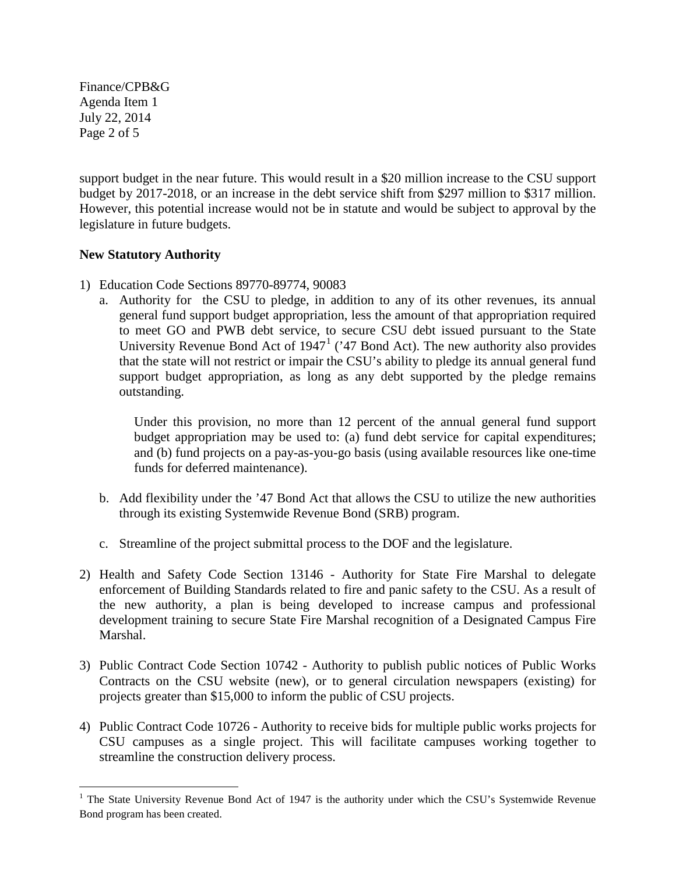Finance/CPB&G Agenda Item 1 July 22, 2014 Page 2 of 5

support budget in the near future. This would result in a \$20 million increase to the CSU support budget by 2017-2018, or an increase in the debt service shift from \$297 million to \$317 million. However, this potential increase would not be in statute and would be subject to approval by the legislature in future budgets.

# **New Statutory Authority**

- 1) Education Code Sections 89770-89774, 90083
	- a. Authority for the CSU to pledge, in addition to any of its other revenues, its annual general fund support budget appropriation, less the amount of that appropriation required to meet GO and PWB debt service, to secure CSU debt issued pursuant to the State University Revenue Bond Act of  $1947<sup>1</sup>$  $1947<sup>1</sup>$  ('47 Bond Act). The new authority also provides that the state will not restrict or impair the CSU's ability to pledge its annual general fund support budget appropriation, as long as any debt supported by the pledge remains outstanding.

Under this provision, no more than 12 percent of the annual general fund support budget appropriation may be used to: (a) fund debt service for capital expenditures; and (b) fund projects on a pay-as-you-go basis (using available resources like one-time funds for deferred maintenance).

- b. Add flexibility under the '47 Bond Act that allows the CSU to utilize the new authorities through its existing Systemwide Revenue Bond (SRB) program.
- c. Streamline of the project submittal process to the DOF and the legislature.
- 2) Health and Safety Code Section 13146 Authority for State Fire Marshal to delegate enforcement of Building Standards related to fire and panic safety to the CSU. As a result of the new authority, a plan is being developed to increase campus and professional development training to secure State Fire Marshal recognition of a Designated Campus Fire Marshal.
- 3) Public Contract Code Section 10742 Authority to publish public notices of Public Works Contracts on the CSU website (new), or to general circulation newspapers (existing) for projects greater than \$15,000 to inform the public of CSU projects.
- 4) Public Contract Code 10726 Authority to receive bids for multiple public works projects for CSU campuses as a single project. This will facilitate campuses working together to streamline the construction delivery process.

<sup>&</sup>lt;sup>1</sup> The State University Revenue Bond Act of 1947 is the authority under which the CSU's Systemwide Revenue Bond program has been created.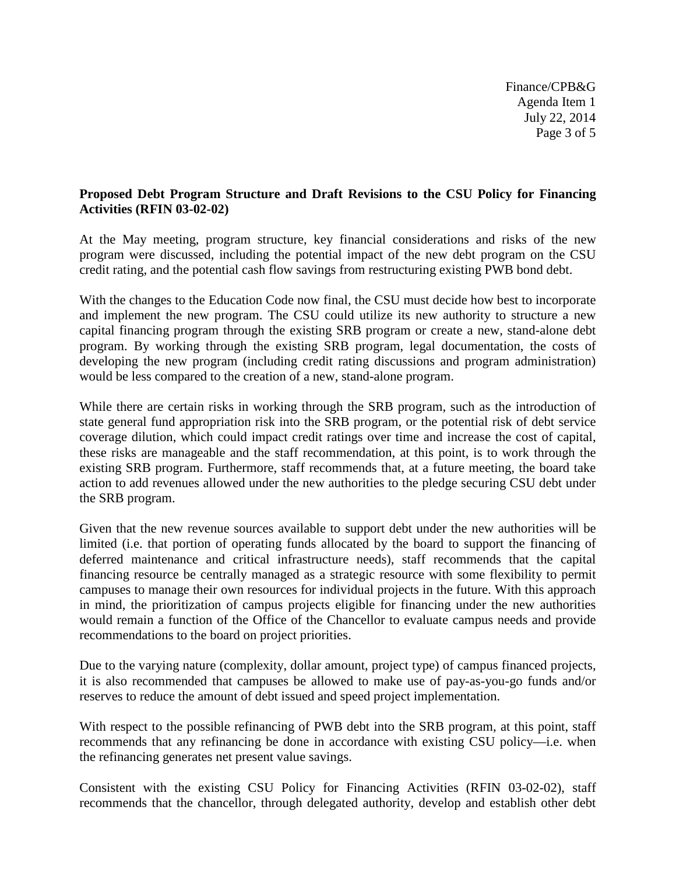Finance/CPB&G Agenda Item 1 July 22, 2014 Page 3 of 5

## **Proposed Debt Program Structure and Draft Revisions to the CSU Policy for Financing Activities (RFIN 03-02-02)**

At the May meeting, program structure, key financial considerations and risks of the new program were discussed, including the potential impact of the new debt program on the CSU credit rating, and the potential cash flow savings from restructuring existing PWB bond debt.

With the changes to the Education Code now final, the CSU must decide how best to incorporate and implement the new program. The CSU could utilize its new authority to structure a new capital financing program through the existing SRB program or create a new, stand-alone debt program. By working through the existing SRB program, legal documentation, the costs of developing the new program (including credit rating discussions and program administration) would be less compared to the creation of a new, stand-alone program.

While there are certain risks in working through the SRB program, such as the introduction of state general fund appropriation risk into the SRB program, or the potential risk of debt service coverage dilution, which could impact credit ratings over time and increase the cost of capital, these risks are manageable and the staff recommendation, at this point, is to work through the existing SRB program. Furthermore, staff recommends that, at a future meeting, the board take action to add revenues allowed under the new authorities to the pledge securing CSU debt under the SRB program.

Given that the new revenue sources available to support debt under the new authorities will be limited (i.e. that portion of operating funds allocated by the board to support the financing of deferred maintenance and critical infrastructure needs), staff recommends that the capital financing resource be centrally managed as a strategic resource with some flexibility to permit campuses to manage their own resources for individual projects in the future. With this approach in mind, the prioritization of campus projects eligible for financing under the new authorities would remain a function of the Office of the Chancellor to evaluate campus needs and provide recommendations to the board on project priorities.

Due to the varying nature (complexity, dollar amount, project type) of campus financed projects, it is also recommended that campuses be allowed to make use of pay-as-you-go funds and/or reserves to reduce the amount of debt issued and speed project implementation.

With respect to the possible refinancing of PWB debt into the SRB program, at this point, staff recommends that any refinancing be done in accordance with existing CSU policy—i.e. when the refinancing generates net present value savings.

Consistent with the existing CSU Policy for Financing Activities (RFIN 03-02-02), staff recommends that the chancellor, through delegated authority, develop and establish other debt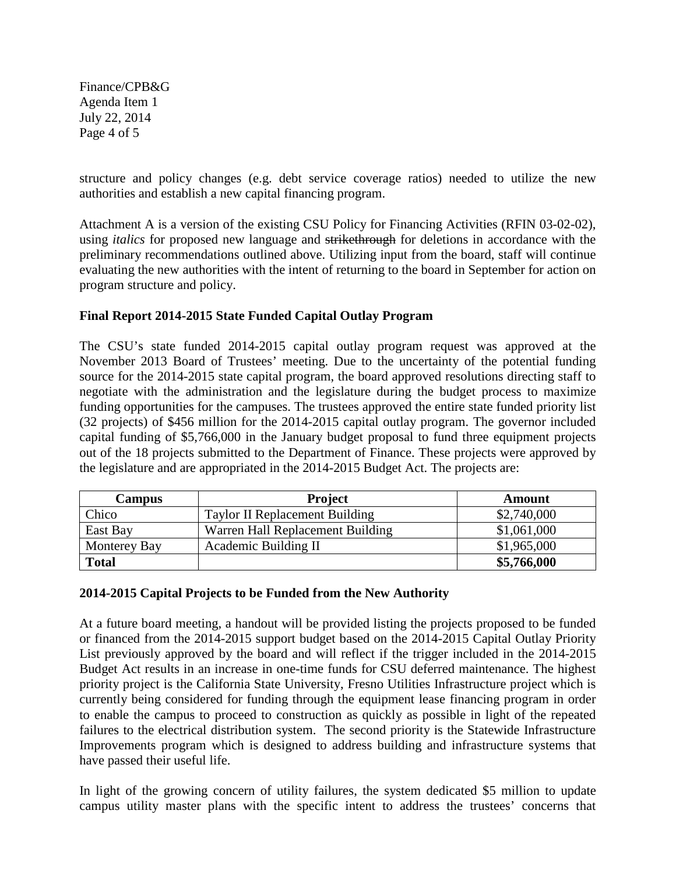Finance/CPB&G Agenda Item 1 July 22, 2014 Page 4 of 5

structure and policy changes (e.g. debt service coverage ratios) needed to utilize the new authorities and establish a new capital financing program.

Attachment A is a version of the existing CSU Policy for Financing Activities (RFIN 03-02-02), using *italics* for proposed new language and strikethrough for deletions in accordance with the preliminary recommendations outlined above. Utilizing input from the board, staff will continue evaluating the new authorities with the intent of returning to the board in September for action on program structure and policy.

## **Final Report 2014-2015 State Funded Capital Outlay Program**

The CSU's state funded 2014-2015 capital outlay program request was approved at the November 2013 Board of Trustees' meeting. Due to the uncertainty of the potential funding source for the 2014-2015 state capital program, the board approved resolutions directing staff to negotiate with the administration and the legislature during the budget process to maximize funding opportunities for the campuses. The trustees approved the entire state funded priority list (32 projects) of \$456 million for the 2014-2015 capital outlay program. The governor included capital funding of \$5,766,000 in the January budget proposal to fund three equipment projects out of the 18 projects submitted to the Department of Finance. These projects were approved by the legislature and are appropriated in the 2014-2015 Budget Act. The projects are:

| <b>Campus</b> | <b>Project</b>                   | Amount      |
|---------------|----------------------------------|-------------|
| Chico         | Taylor II Replacement Building   | \$2,740,000 |
| East Bay      | Warren Hall Replacement Building | \$1,061,000 |
| Monterey Bay  | Academic Building II             | \$1,965,000 |
| <b>Total</b>  |                                  | \$5,766,000 |

## **2014-2015 Capital Projects to be Funded from the New Authority**

At a future board meeting, a handout will be provided listing the projects proposed to be funded or financed from the 2014-2015 support budget based on the 2014-2015 Capital Outlay Priority List previously approved by the board and will reflect if the trigger included in the 2014-2015 Budget Act results in an increase in one-time funds for CSU deferred maintenance. The highest priority project is the California State University, Fresno Utilities Infrastructure project which is currently being considered for funding through the equipment lease financing program in order to enable the campus to proceed to construction as quickly as possible in light of the repeated failures to the electrical distribution system. The second priority is the Statewide Infrastructure Improvements program which is designed to address building and infrastructure systems that have passed their useful life.

In light of the growing concern of utility failures, the system dedicated \$5 million to update campus utility master plans with the specific intent to address the trustees' concerns that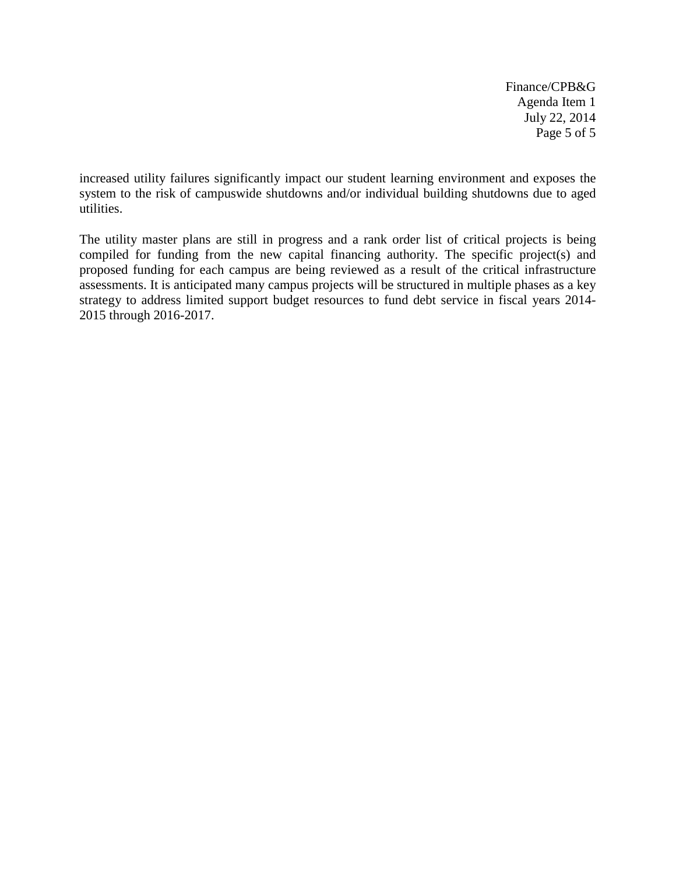Finance/CPB&G Agenda Item 1 July 22, 2014 Page 5 of 5

increased utility failures significantly impact our student learning environment and exposes the system to the risk of campuswide shutdowns and/or individual building shutdowns due to aged utilities.

The utility master plans are still in progress and a rank order list of critical projects is being compiled for funding from the new capital financing authority. The specific project(s) and proposed funding for each campus are being reviewed as a result of the critical infrastructure assessments. It is anticipated many campus projects will be structured in multiple phases as a key strategy to address limited support budget resources to fund debt service in fiscal years 2014- 2015 through 2016-2017.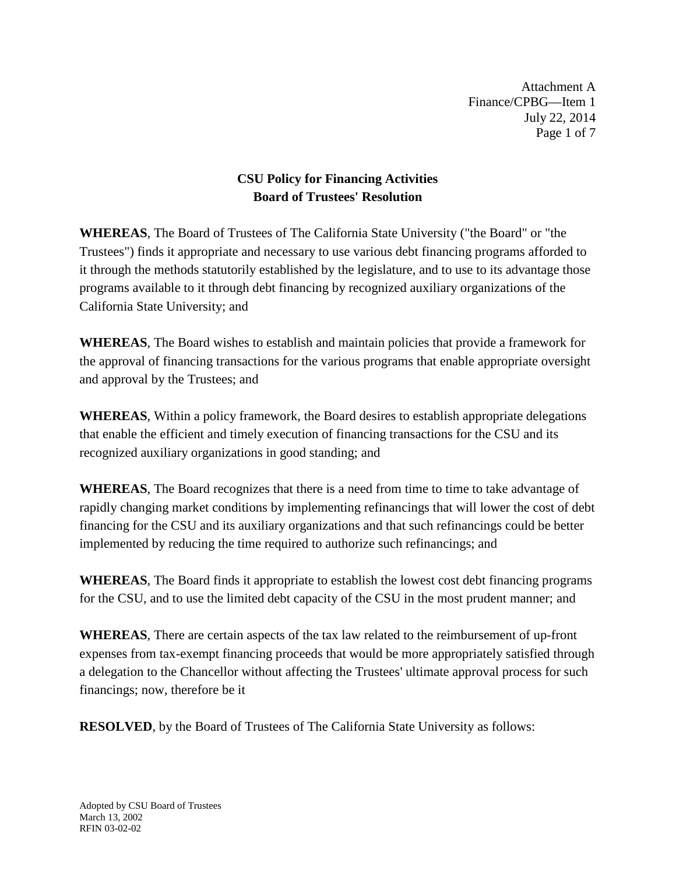Attachment A Finance/CPBG—Item 1 July 22, 2014 Page 1 of 7

# **CSU Policy for Financing Activities Board of Trustees' Resolution**

**WHEREAS**, The Board of Trustees of The California State University ("the Board" or "the Trustees") finds it appropriate and necessary to use various debt financing programs afforded to it through the methods statutorily established by the legislature, and to use to its advantage those programs available to it through debt financing by recognized auxiliary organizations of the California State University; and

**WHEREAS**, The Board wishes to establish and maintain policies that provide a framework for the approval of financing transactions for the various programs that enable appropriate oversight and approval by the Trustees; and

**WHEREAS**, Within a policy framework, the Board desires to establish appropriate delegations that enable the efficient and timely execution of financing transactions for the CSU and its recognized auxiliary organizations in good standing; and

**WHEREAS**, The Board recognizes that there is a need from time to time to take advantage of rapidly changing market conditions by implementing refinancings that will lower the cost of debt financing for the CSU and its auxiliary organizations and that such refinancings could be better implemented by reducing the time required to authorize such refinancings; and

**WHEREAS**, The Board finds it appropriate to establish the lowest cost debt financing programs for the CSU, and to use the limited debt capacity of the CSU in the most prudent manner; and

**WHEREAS**, There are certain aspects of the tax law related to the reimbursement of up-front expenses from tax-exempt financing proceeds that would be more appropriately satisfied through a delegation to the Chancellor without affecting the Trustees' ultimate approval process for such financings; now, therefore be it

**RESOLVED**, by the Board of Trustees of The California State University as follows: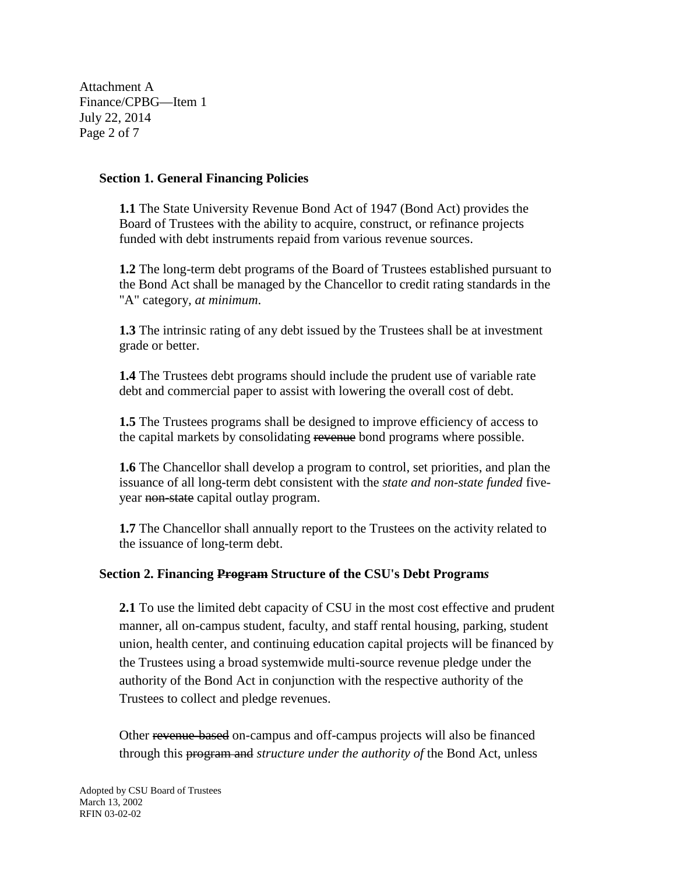Attachment A Finance/CPBG—Item 1 July 22, 2014 Page 2 of 7

#### **Section 1. General Financing Policies**

**1.1** The State University Revenue Bond Act of 1947 (Bond Act) provides the Board of Trustees with the ability to acquire, construct, or refinance projects funded with debt instruments repaid from various revenue sources.

**1.2** The long-term debt programs of the Board of Trustees established pursuant to the Bond Act shall be managed by the Chancellor to credit rating standards in the "A" category*, at minimum*.

**1.3** The intrinsic rating of any debt issued by the Trustees shall be at investment grade or better.

**1.4** The Trustees debt programs should include the prudent use of variable rate debt and commercial paper to assist with lowering the overall cost of debt.

**1.5** The Trustees programs shall be designed to improve efficiency of access to the capital markets by consolidating revenue bond programs where possible.

**1.6** The Chancellor shall develop a program to control, set priorities, and plan the issuance of all long-term debt consistent with the *state and non-state funded* fiveyear non-state capital outlay program.

**1.7** The Chancellor shall annually report to the Trustees on the activity related to the issuance of long-term debt.

## **Section 2. Financing Program Structure of the CSU's Debt Program***s*

**2.1** To use the limited debt capacity of CSU in the most cost effective and prudent manner, all on-campus student, faculty, and staff rental housing, parking, student union, health center, and continuing education capital projects will be financed by the Trustees using a broad systemwide multi-source revenue pledge under the authority of the Bond Act in conjunction with the respective authority of the Trustees to collect and pledge revenues.

Other revenue-based on-campus and off-campus projects will also be financed through this program and *structure under the authority of* the Bond Act, unless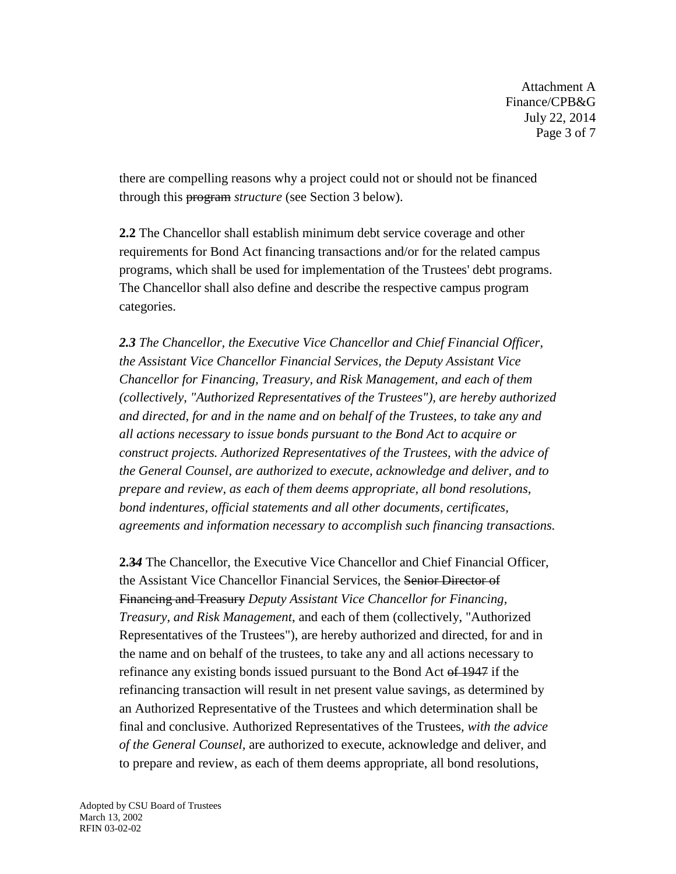Attachment A Finance/CPB&G July 22, 2014 Page 3 of 7

there are compelling reasons why a project could not or should not be financed through this program *structure* (see Section 3 below).

**2.2** The Chancellor shall establish minimum debt service coverage and other requirements for Bond Act financing transactions and/or for the related campus programs, which shall be used for implementation of the Trustees' debt programs. The Chancellor shall also define and describe the respective campus program categories.

*2.3 The Chancellor, the Executive Vice Chancellor and Chief Financial Officer, the Assistant Vice Chancellor Financial Services, the Deputy Assistant Vice Chancellor for Financing, Treasury, and Risk Management, and each of them (collectively, "Authorized Representatives of the Trustees"), are hereby authorized and directed, for and in the name and on behalf of the Trustees, to take any and all actions necessary to issue bonds pursuant to the Bond Act to acquire or construct projects. Authorized Representatives of the Trustees, with the advice of the General Counsel, are authorized to execute, acknowledge and deliver, and to prepare and review, as each of them deems appropriate, all bond resolutions, bond indentures, official statements and all other documents, certificates, agreements and information necessary to accomplish such financing transactions.* 

**2.3***4* The Chancellor, the Executive Vice Chancellor and Chief Financial Officer, the Assistant Vice Chancellor Financial Services, the Senior Director of Financing and Treasury *Deputy Assistant Vice Chancellor for Financing, Treasury, and Risk Management*, and each of them (collectively, "Authorized Representatives of the Trustees"), are hereby authorized and directed, for and in the name and on behalf of the trustees, to take any and all actions necessary to refinance any existing bonds issued pursuant to the Bond Act of 1947 if the refinancing transaction will result in net present value savings, as determined by an Authorized Representative of the Trustees and which determination shall be final and conclusive. Authorized Representatives of the Trustees*, with the advice of the General Counsel,* are authorized to execute, acknowledge and deliver, and to prepare and review, as each of them deems appropriate, all bond resolutions,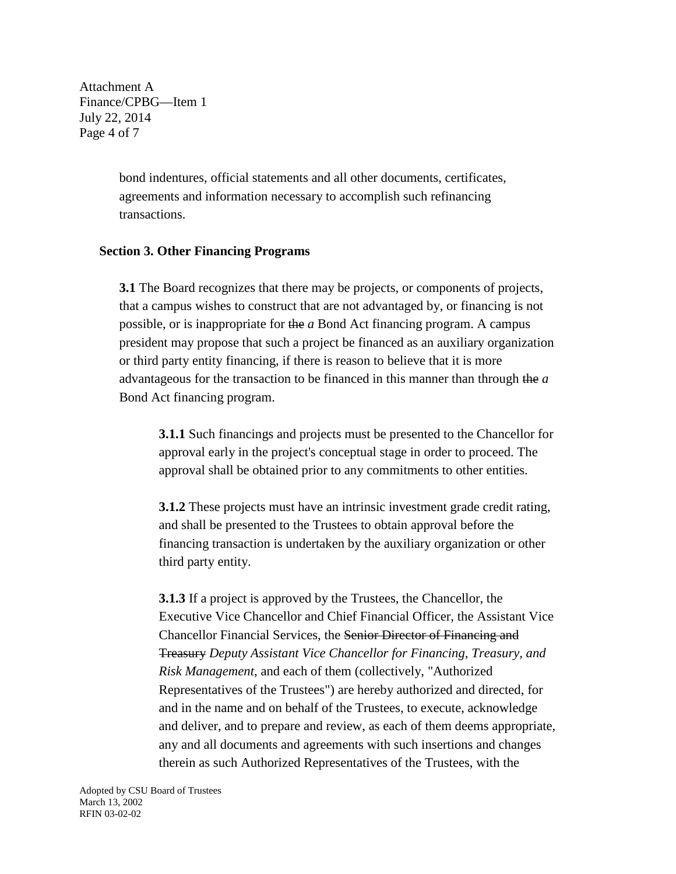Attachment A Finance/CPBG—Item 1 July 22, 2014 Page 4 of 7

> bond indentures, official statements and all other documents, certificates, agreements and information necessary to accomplish such refinancing transactions.

#### **Section 3. Other Financing Programs**

**3.1** The Board recognizes that there may be projects, or components of projects, that a campus wishes to construct that are not advantaged by, or financing is not possible, or is inappropriate for the *a* Bond Act financing program. A campus president may propose that such a project be financed as an auxiliary organization or third party entity financing, if there is reason to believe that it is more advantageous for the transaction to be financed in this manner than through the *a*  Bond Act financing program.

**3.1.1** Such financings and projects must be presented to the Chancellor for approval early in the project's conceptual stage in order to proceed. The approval shall be obtained prior to any commitments to other entities.

**3.1.2** These projects must have an intrinsic investment grade credit rating, and shall be presented to the Trustees to obtain approval before the financing transaction is undertaken by the auxiliary organization or other third party entity.

**3.1.3** If a project is approved by the Trustees, the Chancellor, the Executive Vice Chancellor and Chief Financial Officer, the Assistant Vice Chancellor Financial Services, the Senior Director of Financing and Treasury *Deputy Assistant Vice Chancellor for Financing, Treasury, and Risk Management*, and each of them (collectively, "Authorized Representatives of the Trustees") are hereby authorized and directed, for and in the name and on behalf of the Trustees, to execute, acknowledge and deliver, and to prepare and review, as each of them deems appropriate, any and all documents and agreements with such insertions and changes therein as such Authorized Representatives of the Trustees, with the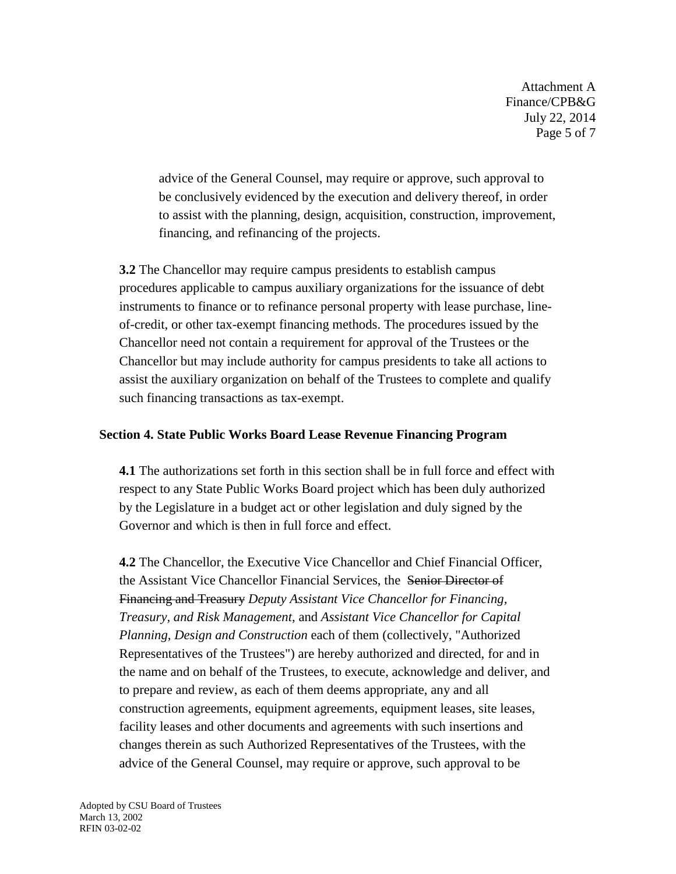Attachment A Finance/CPB&G July 22, 2014 Page 5 of 7

advice of the General Counsel, may require or approve, such approval to be conclusively evidenced by the execution and delivery thereof, in order to assist with the planning, design, acquisition, construction, improvement, financing, and refinancing of the projects.

**3.2** The Chancellor may require campus presidents to establish campus procedures applicable to campus auxiliary organizations for the issuance of debt instruments to finance or to refinance personal property with lease purchase, lineof-credit, or other tax-exempt financing methods. The procedures issued by the Chancellor need not contain a requirement for approval of the Trustees or the Chancellor but may include authority for campus presidents to take all actions to assist the auxiliary organization on behalf of the Trustees to complete and qualify such financing transactions as tax-exempt.

## **Section 4. State Public Works Board Lease Revenue Financing Program**

**4.1** The authorizations set forth in this section shall be in full force and effect with respect to any State Public Works Board project which has been duly authorized by the Legislature in a budget act or other legislation and duly signed by the Governor and which is then in full force and effect.

**4.2** The Chancellor, the Executive Vice Chancellor and Chief Financial Officer, the Assistant Vice Chancellor Financial Services, the Senior Director of Financing and Treasury *Deputy Assistant Vice Chancellor for Financing, Treasury, and Risk Management*, and *Assistant Vice Chancellor for Capital Planning, Design and Construction* each of them (collectively, "Authorized Representatives of the Trustees") are hereby authorized and directed, for and in the name and on behalf of the Trustees, to execute, acknowledge and deliver, and to prepare and review, as each of them deems appropriate, any and all construction agreements, equipment agreements, equipment leases, site leases, facility leases and other documents and agreements with such insertions and changes therein as such Authorized Representatives of the Trustees, with the advice of the General Counsel, may require or approve, such approval to be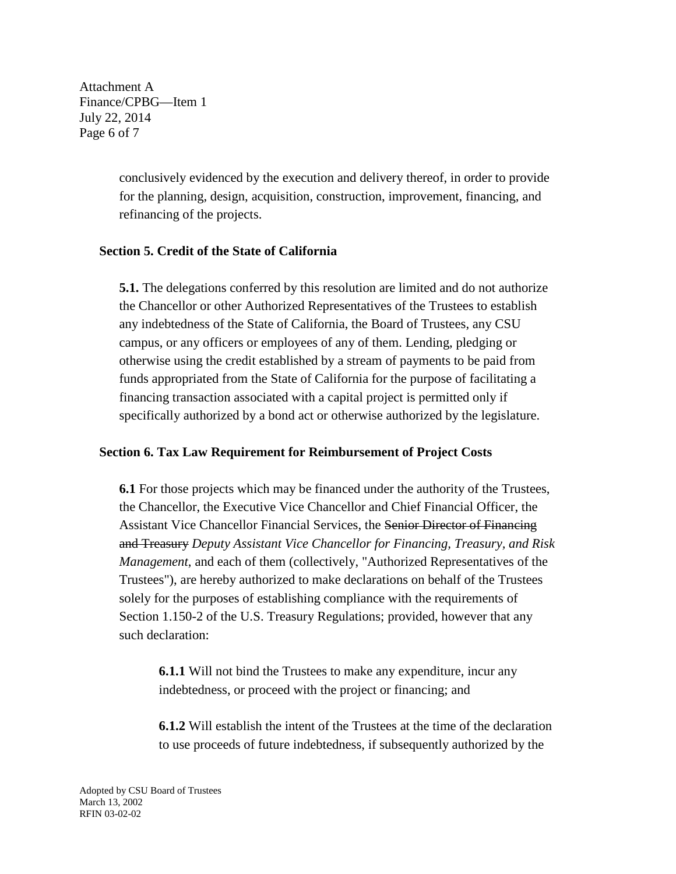Attachment A Finance/CPBG—Item 1 July 22, 2014 Page 6 of 7

> conclusively evidenced by the execution and delivery thereof, in order to provide for the planning, design, acquisition, construction, improvement, financing, and refinancing of the projects.

## **Section 5. Credit of the State of California**

**5.1.** The delegations conferred by this resolution are limited and do not authorize the Chancellor or other Authorized Representatives of the Trustees to establish any indebtedness of the State of California, the Board of Trustees, any CSU campus, or any officers or employees of any of them. Lending, pledging or otherwise using the credit established by a stream of payments to be paid from funds appropriated from the State of California for the purpose of facilitating a financing transaction associated with a capital project is permitted only if specifically authorized by a bond act or otherwise authorized by the legislature.

## **Section 6. Tax Law Requirement for Reimbursement of Project Costs**

**6.1** For those projects which may be financed under the authority of the Trustees, the Chancellor, the Executive Vice Chancellor and Chief Financial Officer, the Assistant Vice Chancellor Financial Services, the Senior Director of Financing and Treasury *Deputy Assistant Vice Chancellor for Financing, Treasury, and Risk Management*, and each of them (collectively, "Authorized Representatives of the Trustees"), are hereby authorized to make declarations on behalf of the Trustees solely for the purposes of establishing compliance with the requirements of Section 1.150-2 of the U.S. Treasury Regulations; provided, however that any such declaration:

**6.1.1** Will not bind the Trustees to make any expenditure, incur any indebtedness, or proceed with the project or financing; and

**6.1.2** Will establish the intent of the Trustees at the time of the declaration to use proceeds of future indebtedness, if subsequently authorized by the